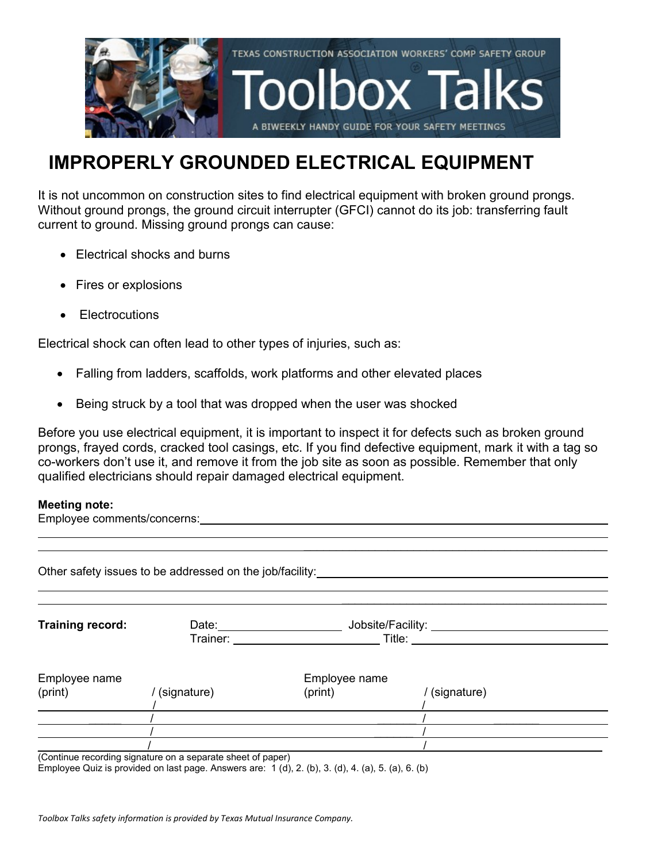

## **IMPROPERLY GROUNDED ELECTRICAL EQUIPMENT**

It is not uncommon on construction sites to find electrical equipment with broken ground prongs. Without ground prongs, the ground circuit interrupter (GFCI) cannot do its job: transferring fault current to ground. Missing ground prongs can cause:

- Electrical shocks and burns
- Fires or explosions
- Electrocutions

Electrical shock can often lead to other types of injuries, such as:

 $\overline{a}$ 

- Falling from ladders, scaffolds, work platforms and other elevated places
- Being struck by a tool that was dropped when the user was shocked

Before you use electrical equipment, it is important to inspect it for defects such as broken ground prongs, frayed cords, cracked tool casings, etc. If you find defective equipment, mark it with a tag so co-workers don't use it, and remove it from the job site as soon as possible. Remember that only qualified electricians should repair damaged electrical equipment.

## **Meeting note:**

Employee comments/concerns: example and the state of the state of the state of the state of the state of the state of the state of the state of the state of the state of the state of the state of the state of the state of

 $\mathcal{L}_\text{max}$  and  $\mathcal{L}_\text{max}$  and  $\mathcal{L}_\text{max}$  and  $\mathcal{L}_\text{max}$  and  $\mathcal{L}_\text{max}$ Other safety issues to be addressed on the job/facility:  $\mathcal{L}_\text{max}$  and  $\mathcal{L}_\text{max}$  and  $\mathcal{L}_\text{max}$  and  $\mathcal{L}_\text{max}$ **Training record:** Date: Date: Jobsite/Facility: Trainer: Title: Employee name Employee name (print) / (signature) (print) / (signature) \_\_\_\_ / /  $\frac{1}{2}$  /  $\frac{1}{2}$  /  $\frac{1}{2}$  /  $\frac{1}{2}$  /  $\frac{1}{2}$  /  $\frac{1}{2}$  /  $\frac{1}{2}$  /  $\frac{1}{2}$  /  $\frac{1}{2}$  /  $\frac{1}{2}$  /  $\frac{1}{2}$  /  $\frac{1}{2}$  /  $\frac{1}{2}$  /  $\frac{1}{2}$  /  $\frac{1}{2}$  /  $\frac{1}{2}$  /  $\frac{1}{2}$  /  $\frac{1}{2}$  /  $\frac{1$ / \_\_\_\_\_ / \_\_\_\_\_ / \_\_\_\_ / \_\_\_\_ / \_\_\_\_ / \_\_\_\_ / \_\_\_\_ / \_\_\_\_ / \_\_\_\_ / \_\_\_\_ / \_\_\_\_\_ / \_\_\_\_\_ / \_\_\_\_\_ / \_\_\_\_\_ / \_\_\_\_\_ / \_\_\_\_\_ / \_\_\_\_\_ / \_\_\_\_\_ / \_\_\_\_\_ / \_\_\_\_\_ / \_\_\_\_\_ / \_\_\_\_\_ / \_\_\_\_\_ / \_\_\_\_\_ / \_\_\_\_\_ / \_\_\_\_\_ / \_\_\_\_ / \_\_\_\_ / \_\_\_\_ /  $\frac{1}{2}$  /  $\frac{1}{2}$  /  $\frac{1}{2}$  /  $\frac{1}{2}$  /  $\frac{1}{2}$  /  $\frac{1}{2}$  /  $\frac{1}{2}$  /  $\frac{1}{2}$  /  $\frac{1}{2}$  /  $\frac{1}{2}$  /  $\frac{1}{2}$  /  $\frac{1}{2}$  /  $\frac{1}{2}$  /  $\frac{1}{2}$  /  $\frac{1}{2}$  /  $\frac{1}{2}$  /  $\frac{1}{2}$  /  $\frac{1}{2}$  /  $\frac{1$ (Continue recording signature on a separate sheet of paper)

Employee Quiz is provided on last page. Answers are: 1 (d), 2. (b), 3. (d), 4. (a), 5. (a), 6. (b)

*Toolbox Talks safety information is provided by Texas Mutual Insurance Company.*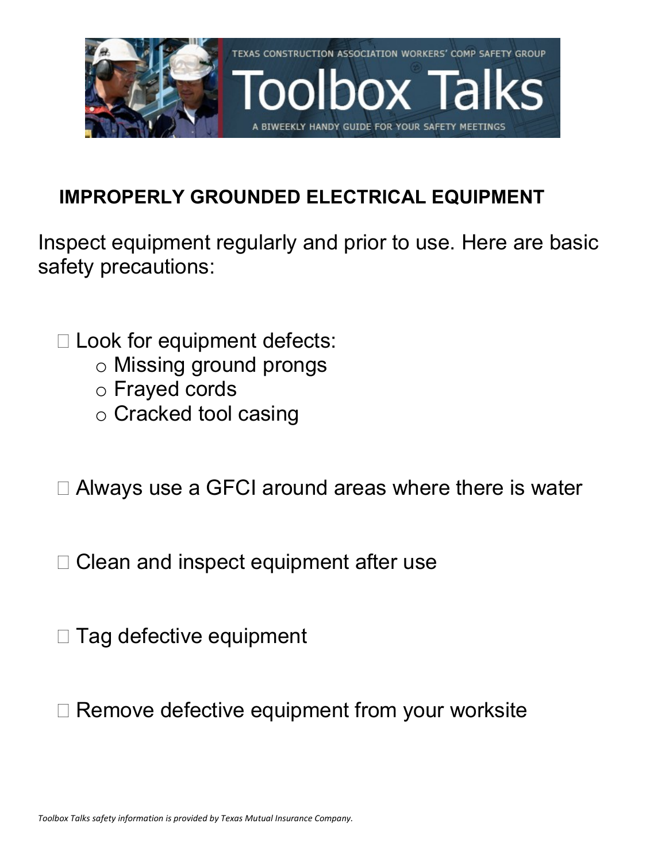

## **IMPROPERLY GROUNDED ELECTRICAL EQUIPMENT**

Inspect equipment regularly and prior to use. Here are basic safety precautions:

- □ Look for equipment defects:
	- o Missing ground prongs
	- o Frayed cords
	- o Cracked tool casing
- □ Always use a GFCI around areas where there is water
- $\Box$  Clean and inspect equipment after use
- $\Box$  Tag defective equipment
- □ Remove defective equipment from your worksite